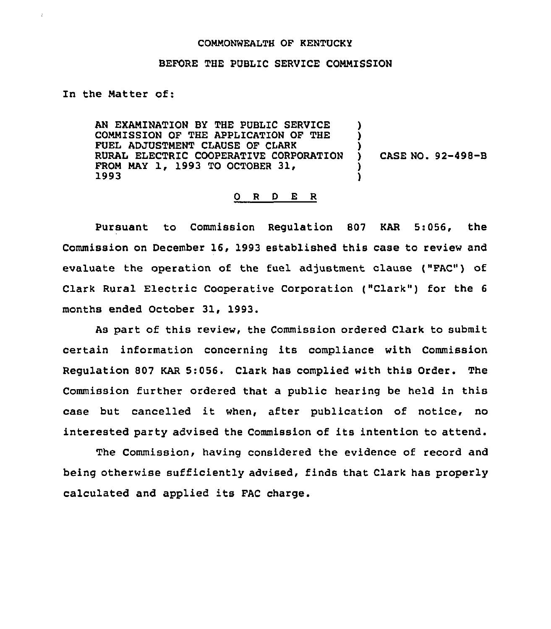## COMMONWEALTH OF KENTUCKY

## BEFORE THE PUBLIC SERVICE COMMISSION

## In the Matter of:

÷.

AN EXAMINATION BY THE PUBLIC SERVICE COMMISSION OF THE APPLICATION OF THE FUEL ADJUSTMENT CLAUSE OF CIARK RURAL ELECTRIC COOPERATIVE CORPORATION FROM MAY 1, 1993 TO OCTOBER 31, 1993 ) <u>ן</u> ) ) CASE NO. 92-498-B ) )

## 0 <sup>R</sup> <sup>D</sup> E R

Pursuant to Commission Regulation 807 KAR 5:056, the Commission on December 16, 1993 established this case to review and evaluate the operation of the fuel adjustment clause ("FAC") of Clark Rural Electric Cooperative Corporation ("Clark") for the 6 months ended October 31, 1993.

As part of this review, the Commission ordered Clark to submit certain information concerning its compliance with Commission Regulation 807 KAR 5:056. Clark has complied with this Order. The Commission further ordered that a public hearing be held in this case but cancelled it when, after publication of notice, no interested party advised the Commission of its intention to attend.

The Commission, having considered the evidence of record and being otherwise sufficiently advised, finds that Clark has properly calculated and applied its FAC charge.